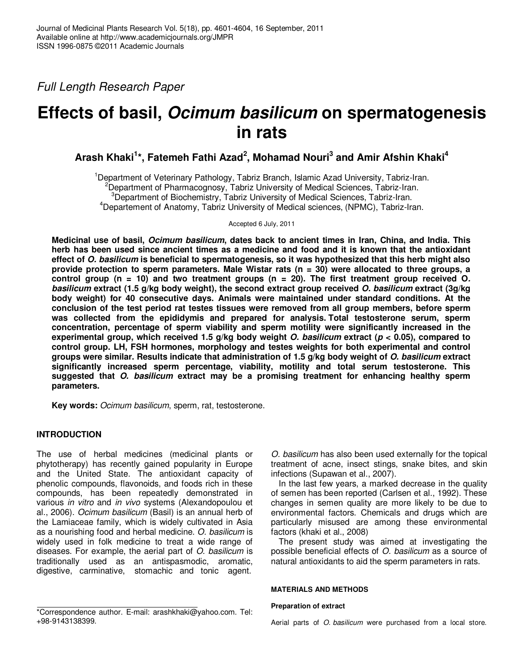Full Length Research Paper

# **Effects of basil, Ocimum basilicum on spermatogenesis in rats**

**Arash Khaki<sup>1</sup> \*, Fatemeh Fathi Azad<sup>2</sup> , Mohamad Nouri<sup>3</sup> and Amir Afshin Khaki<sup>4</sup>**

<sup>1</sup>Department of Veterinary Pathology, Tabriz Branch, Islamic Azad University, Tabriz-Iran.  ${}^{2}$ Department of Pharmacognosy, Tabriz University of Medical Sciences, Tabriz-Iran.  $3$ Department of Biochemistry, Tabriz University of Medical Sciences, Tabriz-Iran. <sup>4</sup>Departement of Anatomy, Tabriz University of Medical sciences, (NPMC), Tabriz-Iran.

Accepted 6 July, 2011

**Medicinal use of basil, Ocimum basilicum, dates back to ancient times in Iran, China, and India. This herb has been used since ancient times as a medicine and food and it is known that the antioxidant effect of O. basilicum is beneficial to spermatogenesis, so it was hypothesized that this herb might also provide protection to sperm parameters. Male Wistar rats (n = 30) were allocated to three groups, a control group (n = 10) and two treatment groups (n = 20). The first treatment group received O. basilicum extract (1.5 g/kg body weight), the second extract group received O. basilicum extract (3g/kg body weight) for 40 consecutive days. Animals were maintained under standard conditions. At the conclusion of the test period rat testes tissues were removed from all group members, before sperm was collected from the epididymis and prepared for analysis. Total testosterone serum, sperm concentration, percentage of sperm viability and sperm motility were significantly increased in the experimental group, which received 1.5 g/kg body weight O. basilicum extract (p < 0.05), compared to control group. LH, FSH hormones, morphology and testes weights for both experimental and control groups were similar. Results indicate that administration of 1.5 g/kg body weight of O. basilicum extract significantly increased sperm percentage, viability, motility and total serum testosterone. This suggested that O. basilicum extract may be a promising treatment for enhancing healthy sperm parameters.** 

**Key words:** Ocimum basilicum, sperm, rat, testosterone.

# **INTRODUCTION**

The use of herbal medicines (medicinal plants or phytotherapy) has recently gained popularity in Europe and the United State. The antioxidant capacity of phenolic compounds, flavonoids, and foods rich in these compounds, has been repeatedly demonstrated in various in vitro and in vivo systems (Alexandopoulou et al., 2006). Ocimum basilicum (Basil) is an annual herb of the Lamiaceae family, which is widely cultivated in Asia as a nourishing food and herbal medicine. O. basilicum is widely used in folk medicine to treat a wide range of diseases. For example, the aerial part of O. basilicum is traditionally used as an antispasmodic, aromatic, digestive, carminative, stomachic and tonic agent.

O. basilicum has also been used externally for the topical treatment of acne, insect stings, snake bites, and skin infections (Supawan et al., 2007).

In the last few years, a marked decrease in the quality of semen has been reported (Carlsen et al., 1992). These changes in semen quality are more likely to be due to environmental factors. Chemicals and drugs which are particularly misused are among these environmental factors (khaki et al., 2008)

The present study was aimed at investigating the possible beneficial effects of O. basilicum as a source of natural antioxidants to aid the sperm parameters in rats.

### **MATERIALS AND METHODS**

#### **Preparation of extract**

<sup>\*</sup>Correspondence author. E-mail: arashkhaki@yahoo.com. Tel: +98-9143138399.

Aerial parts of O. basilicum were purchased from a local store.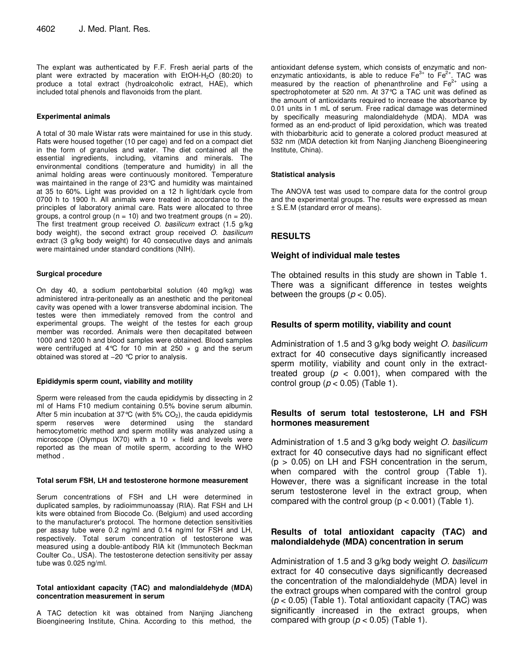The explant was authenticated by F.F. Fresh aerial parts of the plant were extracted by maceration with  $EtOH-H<sub>2</sub>O$  (80:20) to produce a total extract (hydroalcoholic extract, HAE), which included total phenols and flavonoids from the plant.

#### **Experimental animals**

A total of 30 male Wistar rats were maintained for use in this study. Rats were housed together (10 per cage) and fed on a compact diet in the form of granules and water. The diet contained all the essential ingredients, including, vitamins and minerals. The environmental conditions (temperature and humidity) in all the animal holding areas were continuously monitored. Temperature was maintained in the range of 23°C and humidity was maintained at 35 to 60%. Light was provided on a 12 h light/dark cycle from 0700 h to 1900 h. All animals were treated in accordance to the principles of laboratory animal care. Rats were allocated to three groups, a control group ( $n = 10$ ) and two treatment groups ( $n = 20$ ). The first treatment group received O. basilicum extract (1.5 g/kg body weight), the second extract group received O. basilicum extract (3 g/kg body weight) for 40 consecutive days and animals were maintained under standard conditions (NIH).

### **Surgical procedure**

On day 40, a sodium pentobarbital solution (40 mg/kg) was administered intra-peritoneally as an anesthetic and the peritoneal cavity was opened with a lower transverse abdominal incision. The testes were then immediately removed from the control and experimental groups. The weight of the testes for each group member was recorded. Animals were then decapitated between 1000 and 1200 h and blood samples were obtained. Blood samples were centrifuged at 4°C for 10 min at 250  $\times$  g and the serum obtained was stored at −20 °C prior to analysis.

# **Epididymis sperm count, viability and motility**

Sperm were released from the cauda epididymis by dissecting in 2 ml of Hams F10 medium containing 0.5% bovine serum albumin. After 5 min incubation at  $37^{\circ}C$  (with  $5\%$  CO<sub>2</sub>), the cauda epididymis sperm reserves were determined using the standard were determined using the hemocytometric method and sperm motility was analyzed using a microscope (Olympus IX70) with a 10  $\times$  field and levels were reported as the mean of motile sperm, according to the WHO method .

#### **Total serum FSH, LH and testosterone hormone measurement**

Serum concentrations of FSH and LH were determined in duplicated samples, by radioimmunoassay (RIA). Rat FSH and LH kits were obtained from Biocode Co. (Belgium) and used according to the manufacturer's protocol. The hormone detection sensitivities per assay tube were 0.2 ng/ml and 0.14 ng/ml for FSH and LH, respectively. Total serum concentration of testosterone was measured using a double-antibody RIA kit (Immunotech Beckman Coulter Co., USA). The testosterone detection sensitivity per assay tube was 0.025 ng/ml.

#### **Total antioxidant capacity (TAC) and malondialdehyde (MDA) concentration measurement in serum**

A TAC detection kit was obtained from Nanjing Jiancheng Bioengineering Institute, China. According to this method, the

antioxidant defense system, which consists of enzymatic and nonenzymatic antioxidants, is able to reduce  $Fe<sup>3+</sup>$  to  $Fe<sup>2+</sup>$ . TAC was measured by the reaction of phenanthroline and  $Fe<sup>2+</sup>$  using a spectrophotometer at 520 nm. At 37°C a TAC unit was defined as the amount of antioxidants required to increase the absorbance by 0.01 units in 1 mL of serum. Free radical damage was determined by specifically measuring malondialdehyde (MDA). MDA was formed as an end-product of lipid peroxidation, which was treated with thiobarbituric acid to generate a colored product measured at 532 nm (MDA detection kit from Nanjing Jiancheng Bioengineering Institute, China).

# **Statistical analysis**

The ANOVA test was used to compare data for the control group and the experimental groups. The results were expressed as mean ± S.E.M (standard error of means).

# **RESULTS**

# **Weight of individual male testes**

The obtained results in this study are shown in Table 1. There was a significant difference in testes weights between the groups ( $p < 0.05$ ).

# **Results of sperm motility, viability and count**

Administration of 1.5 and 3 g/kg body weight O. basilicum extract for 40 consecutive days significantly increased sperm motility, viability and count only in the extracttreated group ( $p < 0.001$ ), when compared with the control group ( $p < 0.05$ ) (Table 1).

# **Results of serum total testosterone, LH and FSH hormones measurement**

Administration of 1.5 and 3 g/kg body weight O. basilicum extract for 40 consecutive days had no significant effect  $(p > 0.05)$  on LH and FSH concentration in the serum, when compared with the control group (Table 1). However, there was a significant increase in the total serum testosterone level in the extract group, when compared with the control group  $(p < 0.001)$  (Table 1).

# **Results of total antioxidant capacity (TAC) and malondialdehyde (MDA) concentration in serum**

Administration of 1.5 and 3 g/kg body weight O. basilicum extract for 40 consecutive days significantly decreased the concentration of the malondialdehyde (MDA) level in the extract groups when compared with the control group  $(p < 0.05)$  (Table 1). Total antioxidant capacity (TAC) was significantly increased in the extract groups, when compared with group ( $p < 0.05$ ) (Table 1).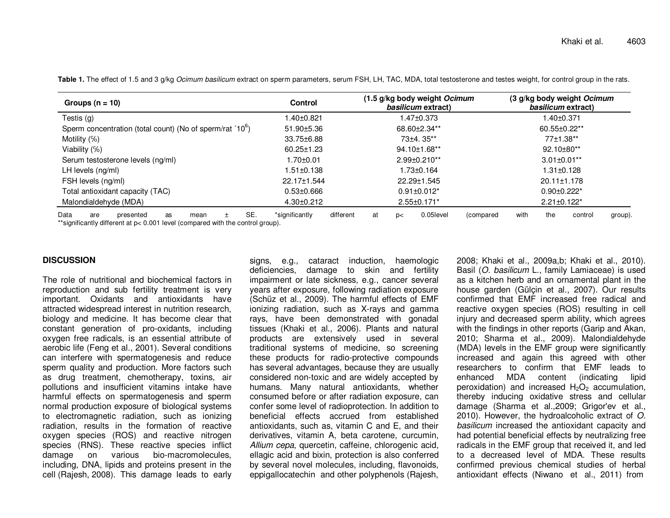| Groups $(n = 10)$                                                                                                                  | <b>Control</b>              | (1.5 g/kg body weight Ocimum<br>basilicum extract) | (3 g/kg body weight Ocimum<br>basilicum extract) |
|------------------------------------------------------------------------------------------------------------------------------------|-----------------------------|----------------------------------------------------|--------------------------------------------------|
| Testis $(g)$                                                                                                                       | 1.40±0.821                  | .47±0.373                                          | 1.40±0.371                                       |
| Sperm concentration (total count) (No of sperm/rat '10 <sup>6</sup> )                                                              | $51.90 \pm 5.36$            | 68.60±2.34**                                       | 60.55±0.22**                                     |
| Motility $(\%)$                                                                                                                    | 33.75±6.88                  | $73+4.35**$                                        | 77±1.38**                                        |
| Viability $(\%)$                                                                                                                   | $60.25 \pm 1.23$            | 94.10±1.68**                                       | 92.10±80**                                       |
| Serum testosterone levels (ng/ml)                                                                                                  | 1.70±0.01                   | $2.99 \pm 0.210**$                                 | $3.01 \pm 0.01**$                                |
| LH levels (ng/ml)                                                                                                                  | $1.51 \pm 0.138$            | 1.73±0.164                                         | $1.31 \pm 0.128$                                 |
| FSH levels (ng/ml)                                                                                                                 | 22.17±1.544                 | 22.29±1.545                                        | $20.11 \pm 1.178$                                |
| Total antioxidant capacity (TAC)                                                                                                   | $0.53 \pm 0.666$            | $0.91 \pm 0.012^*$                                 | $0.90 \pm 0.222$ *                               |
| Malondialdehyde (MDA)                                                                                                              | $4.30 \pm 0.212$            | $2.55 \pm 0.171$ *                                 | $2.21 \pm 0.122$ <sup>*</sup>                    |
| SE.<br>Data<br>presented<br>are<br>as<br>mean<br>**significantly different at $p < 0.001$ level (compared with the control group). | *significantly<br>different | 0.05level<br>at<br>(compared<br>p<                 | the<br>with<br>control<br>group).                |

Table 1. The effect of 1.5 and 3 g/kg *Ocimum basilicum* extract on sperm parameters, serum FSH, LH, TAC, MDA, total testosterone and testes weight, for control group in the rats.

## **DISCUSSION**

The role of nutritional and biochemical factors in reproduction and sub fertility treatment is very important. Oxidants and antioxidants have attracted widespread interest in nutrition research, biology and medicine. It has become clear that constant generation of pro-oxidants, including oxygen free radicals, is an essential attribute of aerobic life (Feng et al., 2001). Several conditions can interfere with spermatogenesis and reduce sperm quality and production. More factors such as drug treatment, chemotherapy, toxins, air pollutions and insufficient vitamins intake have harmful effects on spermatogenesis and sperm normal production exposure of biological systems to electromagnetic radiation, such as ionizing radiation, results in the formation of reactive oxygen species (ROS) and reactive nitrogen species (RNS). These reactive species inflict damage on various bio-macromolecules, including, DNA, lipids and proteins present in the cell (Rajesh, 2008). This damage leads to early

signs, e.g., cataract induction, haemologic deficiencies, damage to skin and fertility impairment or late sickness, e.g., cancer several years after exposure, following radiation exposure (Schüz et al., 2009). The harmful effects of EMF ionizing radiation, such as X-rays and gamma rays, have been demonstrated with gonadal tissues (Khaki et al., 2006). Plants and natural products are extensively used in several traditional systems of medicine, so screening these products for radio-protective compounds has several advantages, because they are usually considered non-toxic and are widely accepted by humans. Many natural antioxidants, whether consumed before or after radiation exposure, can confer some level of radioprotection. In addition to beneficial effects accrued from established antioxidants, such as, vitamin C and E, and their derivatives, vitamin A, beta carotene, curcumin, Allium cepa, quercetin, caffeine, chlorogenic acid, ellagic acid and bixin, protection is also conferred by several novel molecules, including, flavonoids, eppigallocatechin and other polyphenols (Rajesh, 2008; Khaki et al., 2009a,b; Khaki et al., 2010). Basil (O. basilicum L., family Lamiaceae) is used as a kitchen herb and an ornamental plant in the house garden (Gülçin et al., 2007). Our results confirmed that EMF increased free radical and reactive oxygen species (ROS) resulting in cell injury and decreased sperm ability, which agrees with the findings in other reports (Garip and Akan, 2010; Sharma et al., 2009). Malondialdehyde (MDA) levels in the EMF group were significantly increased and again this agreed with other researchers to confirm that EMF leads to enhanced MDA content (indicating lipid peroxidation) and increased  $H_2O_2$  accumulation, thereby inducing oxidative stress and cellular damage (Sharma et al.,2009; Grigor'ev et al., 2010). However, the hydroalcoholic extract of O. basilicum increased the antioxidant capacity and had potential beneficial effects by neutralizing free radicals in the EMF group that received it, and led to a decreased level of MDA. These results confirmed previous chemical studies of herbal antioxidant effects (Niwano et al., 2011) from